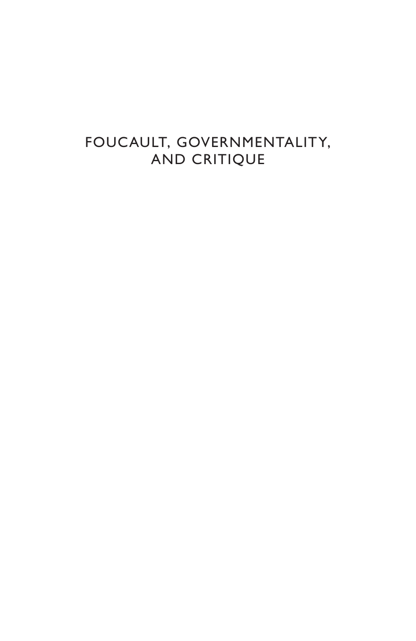# Foucault, Governmentality, AND CRITIQUE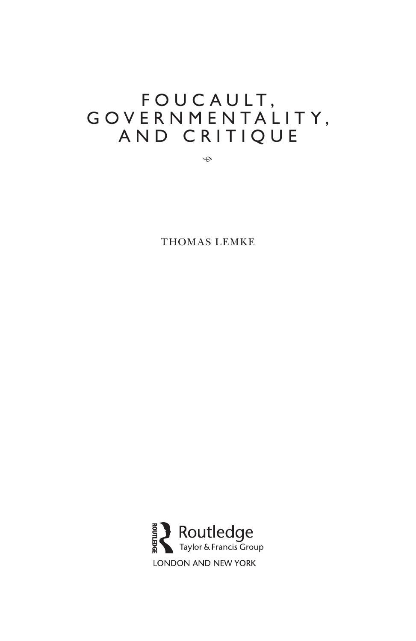# $FOUCAULT,$ Governmentality, and C ritique

 $\div$ d

Thomas Lemke

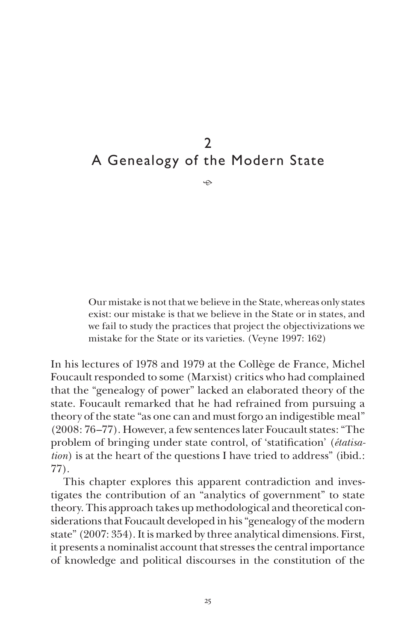# 2 [A Genealogy of the Modern State](#page--1-0)

d

 $\circledcirc$ 

Our mistake is not that we believe in the State, whereas only states exist: our mistake is that we believe in the State or in states, and we fail to study the practices that project the objectivizations we mistake for the State or its varieties. (Veyne 1997: 162)

In his lectures of 1978 and 1979 at the Collège de France, Michel Foucault responded to some (Marxist) critics who had complained that the "genealogy of power" lacked an elaborated theory of the state. Foucault remarked that he had refrained from pursuing a theory of the state "as one can and must forgo an indigestible meal" (2008: 76–77). However, a few sentences later Foucault states: "The problem of bringing under state control, of 'statification' (*étatisation*) is at the heart of the questions I have tried to address" (ibid.: 77).

This chapter explores this apparent contradiction and investigates the contribution of an "analytics of government" to state theory. This approach takes up methodological and theoretical considerations that Foucault developed in his "genealogy of the modern state" (2007: 354). It is marked by three analytical dimensions. First, it presents a nominalist account that stresses the central importance of knowledge and political discourses in the constitution of the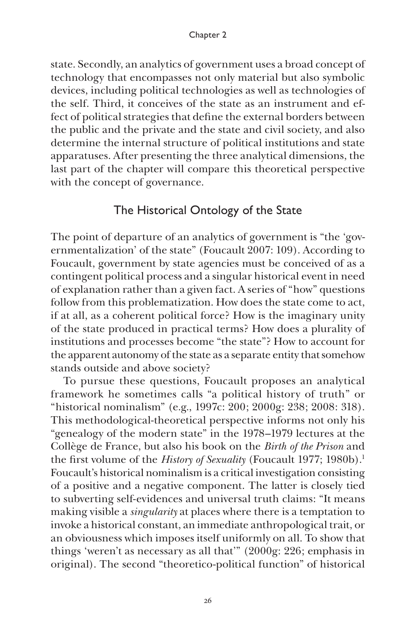state. Secondly, an analytics of government uses a broad concept of technology that encompasses not only material but also symbolic devices, including political technologies as well as technologies of the self. Third, it conceives of the state as an instrument and effect of political strategies that define the external borders between the public and the private and the state and civil society, and also determine the internal structure of political institutions and state apparatuses. After presenting the three analytical dimensions, the last part of the chapter will compare this theoretical perspective with the concept of governance.

### [The Historical Ontology of the State](#page--1-0)

The point of departure of an analytics of government is "the 'governmentalization' of the state" (Foucault 2007: 109). According to Foucault, government by state agencies must be conceived of as a contingent political process and a singular historical event in need of explanation rather than a given fact. A series of "how" questions follow from this problematization. How does the state come to act, if at all, as a coherent political force? How is the imaginary unity of the state produced in practical terms? How does a plurality of institutions and processes become "the state"? How to account for the apparent autonomy of the state as a separate entity that somehow stands outside and above society?

To pursue these questions, Foucault proposes an analytical framework he sometimes calls "a political history of truth" or "historical nominalism" (e.g., 1997c: 200; 2000g: 238; 2008: 318). This methodological-theoretical perspective informs not only his "genealogy of the modern state" in the 1978–1979 lectures at the Collège de France, but also his book on the *Birth of the Prison* and the first volume of the *History of Sexuality* (Foucault 1977; 1980b).<sup>1</sup> Foucault's historical nominalism is a critical investigation consisting of a positive and a negative component. The latter is closely tied to subverting self-evidences and universal truth claims: "It means making visible a *singularity* at places where there is a temptation to invoke a historical constant, an immediate anthropological trait, or an obviousness which imposes itself uniformly on all. To show that things 'weren't as necessary as all that'" (2000g: 226; emphasis in original). The second "theoretico-political function" of historical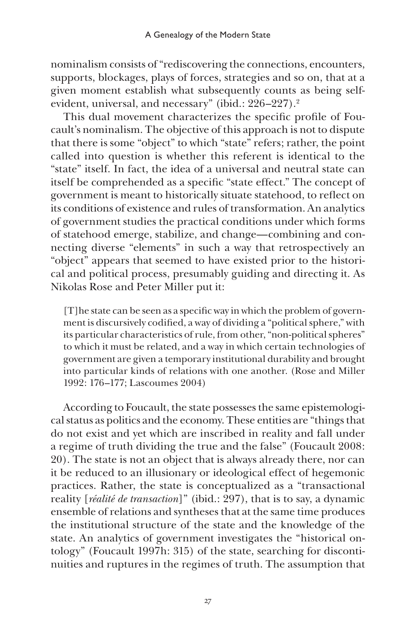nominalism consists of "rediscovering the connections, encounters, supports, blockages, plays of forces, strategies and so on, that at a given moment establish what subsequently counts as being selfevident, universal, and necessary" (ibid.:  $226-227$ ).<sup>2</sup>

This dual movement characterizes the specific profile of Foucault's nominalism. The objective of this approach is not to dispute that there is some "object" to which "state" refers; rather, the point called into question is whether this referent is identical to the "state" itself. In fact, the idea of a universal and neutral state can itself be comprehended as a specific "state effect." The concept of government is meant to historically situate statehood, to reflect on its conditions of existence and rules of transformation. An analytics of government studies the practical conditions under which forms of statehood emerge, stabilize, and change—combining and connecting diverse "elements" in such a way that retrospectively an "object" appears that seemed to have existed prior to the historical and political process, presumably guiding and directing it. As Nikolas Rose and Peter Miller put it:

[T]he state can be seen as a specific way in which the problem of government is discursively codified, a way of dividing a "political sphere," with its particular characteristics of rule, from other, "non-political spheres" to which it must be related, and a way in which certain technologies of government are given a temporary institutional durability and brought into particular kinds of relations with one another. (Rose and Miller 1992: 176–177; Lascoumes 2004)

According to Foucault, the state possesses the same epistemological status as politics and the economy. These entities are "things that do not exist and yet which are inscribed in reality and fall under a regime of truth dividing the true and the false" (Foucault 2008: 20). The state is not an object that is always already there, nor can it be reduced to an illusionary or ideological effect of hegemonic practices. Rather, the state is conceptualized as a "transactional reality [*réalité de transaction*]" (ibid.: 297), that is to say, a dynamic ensemble of relations and syntheses that at the same time produces the institutional structure of the state and the knowledge of the state. An analytics of government investigates the "historical ontology" (Foucault 1997h: 315) of the state, searching for discontinuities and ruptures in the regimes of truth. The assumption that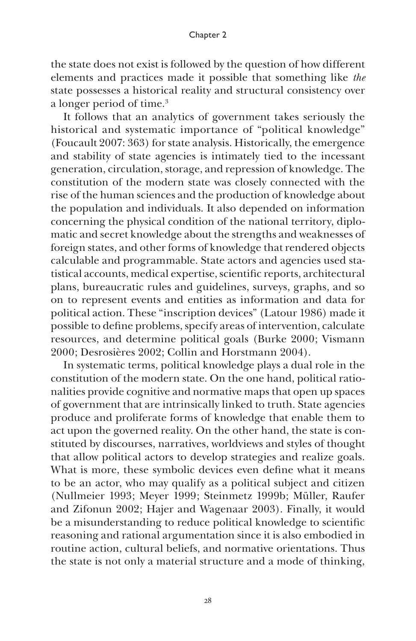#### Chapter 2

the state does not exist is followed by the question of how different elements and practices made it possible that something like *the* state possesses a historical reality and structural consistency over a longer period of time.<sup>3</sup>

It follows that an analytics of government takes seriously the historical and systematic importance of "political knowledge" (Foucault 2007: 363) for state analysis. Historically, the emergence and stability of state agencies is intimately tied to the incessant generation, circulation, storage, and repression of knowledge. The constitution of the modern state was closely connected with the rise of the human sciences and the production of knowledge about the population and individuals. It also depended on information concerning the physical condition of the national territory, diplomatic and secret knowledge about the strengths and weaknesses of foreign states, and other forms of knowledge that rendered objects calculable and programmable. State actors and agencies used statistical accounts, medical expertise, scientific reports, architectural plans, bureaucratic rules and guidelines, surveys, graphs, and so on to represent events and entities as information and data for political action. These "inscription devices" (Latour 1986) made it possible to define problems, specify areas of intervention, calculate resources, and determine political goals (Burke 2000; Vismann 2000; Desrosières 2002; Collin and Horstmann 2004).

In systematic terms, political knowledge plays a dual role in the constitution of the modern state. On the one hand, political rationalities provide cognitive and normative maps that open up spaces of government that are intrinsically linked to truth. State agencies produce and proliferate forms of knowledge that enable them to act upon the governed reality. On the other hand, the state is constituted by discourses, narratives, worldviews and styles of thought that allow political actors to develop strategies and realize goals. What is more, these symbolic devices even define what it means to be an actor, who may qualify as a political subject and citizen (Nullmeier 1993; Meyer 1999; Steinmetz 1999b; Müller, Raufer and Zifonun 2002; Hajer and Wagenaar 2003). Finally, it would be a misunderstanding to reduce political knowledge to scientific reasoning and rational argumentation since it is also embodied in routine action, cultural beliefs, and normative orientations. Thus the state is not only a material structure and a mode of thinking,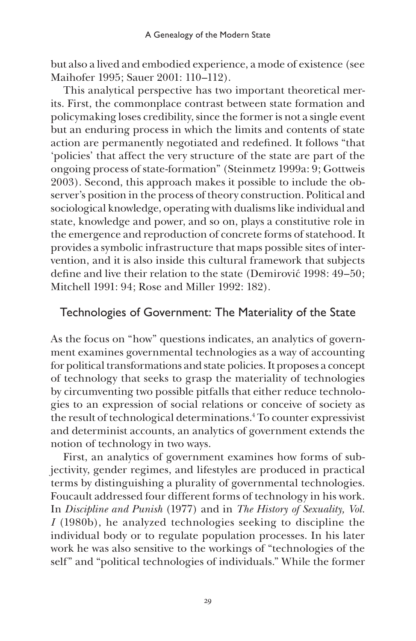but also a lived and embodied experience, a mode of existence (see Maihofer 1995; Sauer 2001: 110–112).

This analytical perspective has two important theoretical merits. First, the commonplace contrast between state formation and policymaking loses credibility, since the former is not a single event but an enduring process in which the limits and contents of state action are permanently negotiated and redefined. It follows "that 'policies' that affect the very structure of the state are part of the ongoing process of state-formation" (Steinmetz 1999a: 9; Gottweis 2003). Second, this approach makes it possible to include the observer's position in the process of theory construction. Political and sociological knowledge, operating with dualisms like individual and state, knowledge and power, and so on, plays a constitutive role in the emergence and reproduction of concrete forms of statehood. It provides a symbolic infrastructure that maps possible sites of intervention, and it is also inside this cultural framework that subjects define and live their relation to the state (Demirović 1998:  $49-50$ ; Mitchell 1991: 94; Rose and Miller 1992: 182).

### [Technologies of Government: The Materiality of the State](#page--1-0)

As the focus on "how" questions indicates, an analytics of government examines governmental technologies as a way of accounting for political transformations and state policies. It proposes a concept of technology that seeks to grasp the materiality of technologies by circumventing two possible pitfalls that either reduce technologies to an expression of social relations or conceive of society as the result of technological determinatio[ns.4](#page--1-0) To counter expressivist and determinist accounts, an analytics of government extends the notion of technology in two ways.

First, an analytics of government examines how forms of subjectivity, gender regimes, and lifestyles are produced in practical terms by distinguishing a plurality of governmental technologies. Foucault addressed four different forms of technology in his work. In *Discipline and Punish* (1977) and in *The History of Sexuality, Vol. I* (1980b), he analyzed technologies seeking to discipline the individual body or to regulate population processes. In his later work he was also sensitive to the workings of "technologies of the self" and "political technologies of individuals." While the former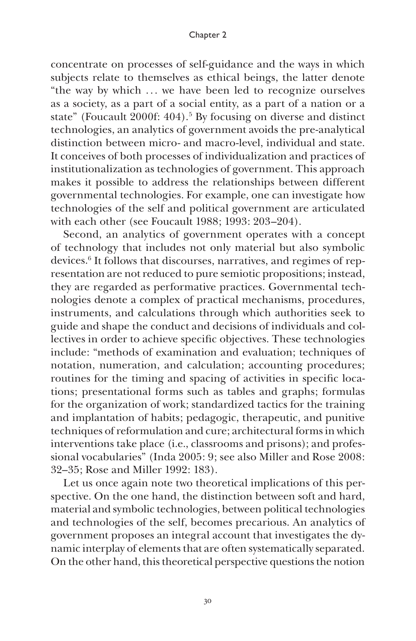concentrate on processes of self-guidance and the ways in which subjects relate to themselves as ethical beings, the latter denote "the way by which ... we have been led to recognize ourselves as a society, as a part of a social entity, as a part of a nation or a state" (Foucault 2000f: 404).<sup>5</sup> By focusing on diverse and distinct technologies, an analytics of government avoids the pre-analytical distinction between micro- and macro-level, individual and state. It conceives of both processes of individualization and practices of institutionalization as technologies of government. This approach makes it possible to address the relationships between different governmental technologies. For example, one can investigate how technologies of the self and political government are articulated with each other (see Foucault 1988; 1993: 203–204).

Second, an analytics of government operates with a concept of technology that includes not only material but also symbolic device[s.6](#page--1-0) It follows that discourses, narratives, and regimes of representation are not reduced to pure semiotic propositions; instead, they are regarded as performative practices. Governmental technologies denote a complex of practical mechanisms, procedures, instruments, and calculations through which authorities seek to guide and shape the conduct and decisions of individuals and collectives in order to achieve specific objectives. These technologies include: "methods of examination and evaluation; techniques of notation, numeration, and calculation; accounting procedures; routines for the timing and spacing of activities in specific locations; presentational forms such as tables and graphs; formulas for the organization of work; standardized tactics for the training and implantation of habits; pedagogic, therapeutic, and punitive techniques of reformulation and cure; architectural forms in which interventions take place (i.e., classrooms and prisons); and professional vocabularies" (Inda 2005: 9; see also Miller and Rose 2008: 32–35; Rose and Miller 1992: 183).

Let us once again note two theoretical implications of this perspective. On the one hand, the distinction between soft and hard, material and symbolic technologies, between political technologies and technologies of the self, becomes precarious. An analytics of government proposes an integral account that investigates the dynamic interplay of elements that are often systematically separated. On the other hand, this theoretical perspective questions the notion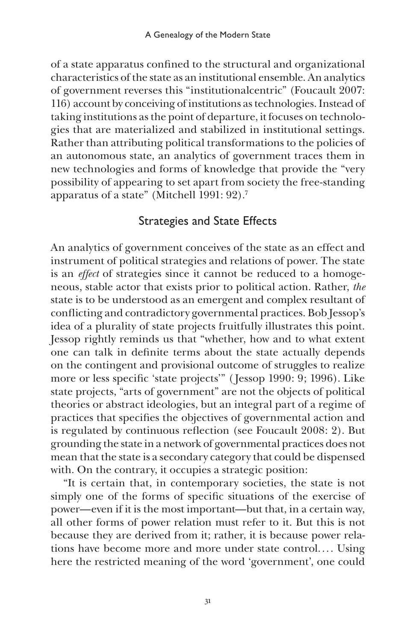of a state apparatus confined to the structural and organizational characteristics of the state as an institutional ensemble. An analytics of government reverses this "institutionalcentric" (Foucault 2007: 116) account by conceiving of institutions as technologies. Instead of taking institutions as the point of departure, it focuses on technologies that are materialized and stabilized in institutional settings. Rather than attributing political transformations to the policies of an autonomous state, an analytics of government traces them in new technologies and forms of knowledge that provide the "very possibility of appearing to set apart from society the free-standing apparatus of a state" (Mitchell 1991: 92)[.7](#page--1-0)

## [Strategies and State Effects](#page--1-0)

An analytics of government conceives of the state as an effect and instrument of political strategies and relations of power. The state is an *effect* of strategies since it cannot be reduced to a homogeneous, stable actor that exists prior to political action. Rather, *the* state is to be understood as an emergent and complex resultant of conflicting and contradictory governmental practices. Bob Jessop's idea of a plurality of state projects fruitfully illustrates this point. Jessop rightly reminds us that "whether, how and to what extent one can talk in definite terms about the state actually depends on the contingent and provisional outcome of struggles to realize more or less specific 'state projects'" ( Jessop 1990: 9; 1996). Like state projects, "arts of government" are not the objects of political theories or abstract ideologies, but an integral part of a regime of practices that specifies the objectives of governmental action and is regulated by continuous reflection (see Foucault 2008: 2). But grounding the state in a network of governmental practices does not mean that the state is a secondary category that could be dispensed with. On the contrary, it occupies a strategic position:

"It is certain that, in contemporary societies, the state is not simply one of the forms of specific situations of the exercise of power—even if it is the most important—but that, in a certain way, all other forms of power relation must refer to it. But this is not because they are derived from it; rather, it is because power relations have become more and more under state control.... Using here the restricted meaning of the word 'government', one could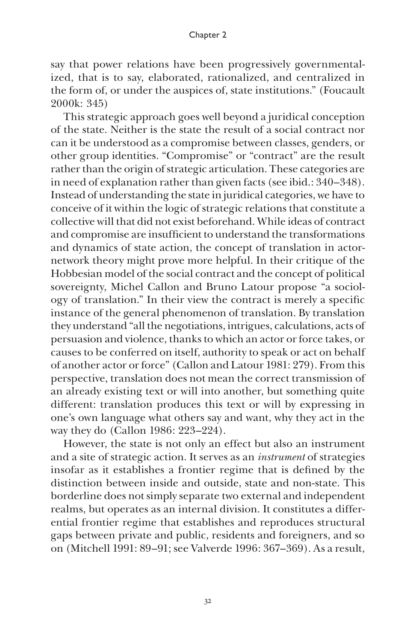### Chapter 2

say that power relations have been progressively governmentalized, that is to say, elaborated, rationalized, and centralized in the form of, or under the auspices of, state institutions." (Foucault 2000k: 345)

This strategic approach goes well beyond a juridical conception of the state. Neither is the state the result of a social contract nor can it be understood as a compromise between classes, genders, or other group identities. "Compromise" or "contract" are the result rather than the origin of strategic articulation. These categories are in need of explanation rather than given facts (see ibid.: 340–348). Instead of understanding the state in juridical categories, we have to conceive of it within the logic of strategic relations that constitute a collective will that did not exist beforehand. While ideas of contract and compromise are insufficient to understand the transformations and dynamics of state action, the concept of translation in actornetwork theory might prove more helpful. In their critique of the Hobbesian model of the social contract and the concept of political sovereignty, Michel Callon and Bruno Latour propose "a sociology of translation." In their view the contract is merely a specific instance of the general phenomenon of translation. By translation they understand "all the negotiations, intrigues, calculations, acts of persuasion and violence, thanks to which an actor or force takes, or causes to be conferred on itself, authority to speak or act on behalf of another actor or force" (Callon and Latour 1981: 279). From this perspective, translation does not mean the correct transmission of an already existing text or will into another, but something quite different: translation produces this text or will by expressing in one's own language what others say and want, why they act in the way they do (Callon 1986: 223–224).

However, the state is not only an effect but also an instrument and a site of strategic action. It serves as an *instrument* of strategies insofar as it establishes a frontier regime that is defined by the distinction between inside and outside, state and non-state. This borderline does not simply separate two external and independent realms, but operates as an internal division. It constitutes a differential frontier regime that establishes and reproduces structural gaps between private and public, residents and foreigners, and so on (Mitchell 1991: 89–91; see Valverde 1996: 367–369). As a result,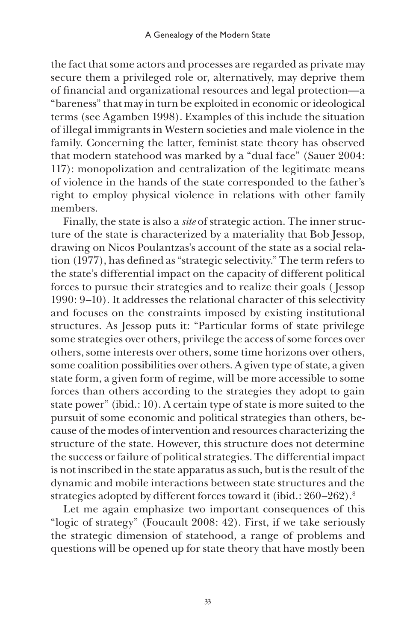the fact that some actors and processes are regarded as private may secure them a privileged role or, alternatively, may deprive them of financial and organizational resources and legal protection—a "bareness" that may in turn be exploited in economic or ideological terms (see Agamben 1998). Examples of this include the situation of illegal immigrants in Western societies and male violence in the family. Concerning the latter, feminist state theory has observed that modern statehood was marked by a "dual face" (Sauer 2004: 117): monopolization and centralization of the legitimate means of violence in the hands of the state corresponded to the father's right to employ physical violence in relations with other family members.

Finally, the state is also a *site* of strategic action. The inner structure of the state is characterized by a materiality that Bob Jessop, drawing on Nicos Poulantzas's account of the state as a social relation (1977), has defined as "strategic selectivity." The term refers to the state's differential impact on the capacity of different political forces to pursue their strategies and to realize their goals ( Jessop 1990: 9–10). It addresses the relational character of this selectivity and focuses on the constraints imposed by existing institutional structures. As Jessop puts it: "Particular forms of state privilege some strategies over others, privilege the access of some forces over others, some interests over others, some time horizons over others, some coalition possibilities over others. A given type of state, a given state form, a given form of regime, will be more accessible to some forces than others according to the strategies they adopt to gain state power" (ibid.: 10). A certain type of state is more suited to the pursuit of some economic and political strategies than others, because of the modes of intervention and resources characterizing the structure of the state. However, this structure does not determine the success or failure of political strategies. The differential impact is not inscribed in the state apparatus as such, but is the result of the dynamic and mobile interactions between state structures and the strategies adopted by different forces toward it (ibid.: 260-262).<sup>8</sup>

Let me again emphasize two important consequences of this "logic of strategy" (Foucault 2008: 42). First, if we take seriously the strategic dimension of statehood, a range of problems and questions will be opened up for state theory that have mostly been

33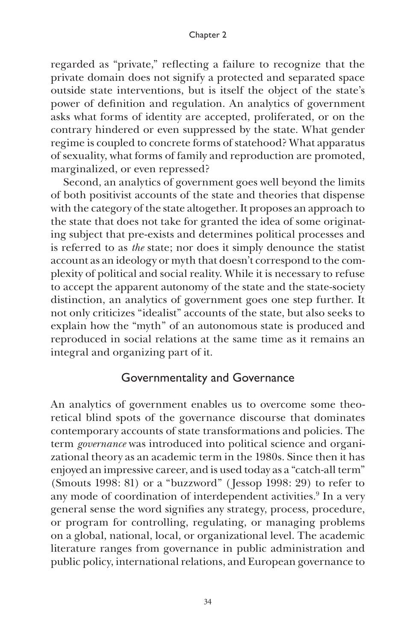regarded as "private," reflecting a failure to recognize that the private domain does not signify a protected and separated space outside state interventions, but is itself the object of the state's power of definition and regulation. An analytics of government asks what forms of identity are accepted, proliferated, or on the contrary hindered or even suppressed by the state. What gender regime is coupled to concrete forms of statehood? What apparatus of sexuality, what forms of family and reproduction are promoted, marginalized, or even repressed?

Second, an analytics of government goes well beyond the limits of both positivist accounts of the state and theories that dispense with the category of the state altogether. It proposes an approach to the state that does not take for granted the idea of some originating subject that pre-exists and determines political processes and is referred to as *the* state; nor does it simply denounce the statist account as an ideology or myth that doesn't correspond to the complexity of political and social reality. While it is necessary to refuse to accept the apparent autonomy of the state and the state-society distinction, an analytics of government goes one step further. It not only criticizes "idealist" accounts of the state, but also seeks to explain how the "myth" of an autonomous state is produced and reproduced in social relations at the same time as it remains an integral and organizing part of it.

### [Governmentality and Governance](#page--1-0)

An analytics of government enables us to overcome some theoretical blind spots of the governance discourse that dominates contemporary accounts of state transformations and policies. The term *governance* was introduced into political science and organizational theory as an academic term in the 1980s. Since then it has enjoyed an impressive career, and is used today as a "catch-all term" (Smouts 1998: 81) or a "buzzword" ( Jessop 1998: 29) to refer to any mode of coordination of interdependent activities.<sup>9</sup> In a very general sense the word signifies any strategy, process, procedure, or program for controlling, regulating, or managing problems on a global, national, local, or organizational level. The academic literature ranges from governance in public administration and public policy, international relations, and European governance to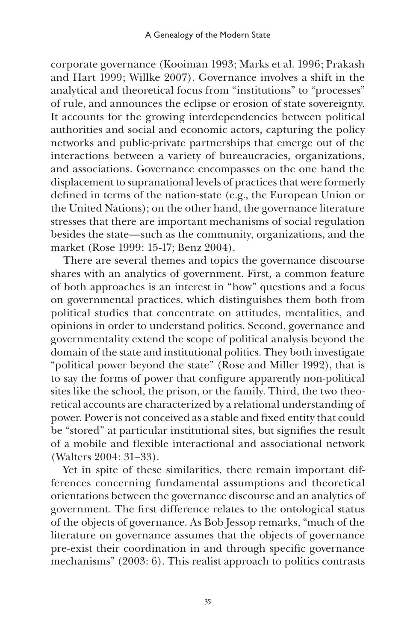corporate governance (Kooiman 1993; Marks et al. 1996; Prakash and Hart 1999; Willke 2007). Governance involves a shift in the analytical and theoretical focus from "institutions" to "processes" of rule, and announces the eclipse or erosion of state sovereignty. It accounts for the growing interdependencies between political authorities and social and economic actors, capturing the policy networks and public-private partnerships that emerge out of the interactions between a variety of bureaucracies, organizations, and associations. Governance encompasses on the one hand the displacement to supranational levels of practices that were formerly defined in terms of the nation-state (e.g., the European Union or the United Nations); on the other hand, the governance literature stresses that there are important mechanisms of social regulation besides the state—such as the community, organizations, and the market (Rose 1999: 15-17; Benz 2004).

There are several themes and topics the governance discourse shares with an analytics of government. First, a common feature of both approaches is an interest in "how" questions and a focus on governmental practices, which distinguishes them both from political studies that concentrate on attitudes, mentalities, and opinions in order to understand politics. Second, governance and governmentality extend the scope of political analysis beyond the domain of the state and institutional politics. They both investigate "political power beyond the state" (Rose and Miller 1992), that is to say the forms of power that configure apparently non-political sites like the school, the prison, or the family. Third, the two theoretical accounts are characterized by a relational understanding of power. Power is not conceived as a stable and fixed entity that could be "stored" at particular institutional sites, but signifies the result of a mobile and flexible interactional and associational network (Walters 2004: 31–33).

Yet in spite of these similarities, there remain important differences concerning fundamental assumptions and theoretical orientations between the governance discourse and an analytics of government. The first difference relates to the ontological status of the objects of governance. As Bob Jessop remarks, "much of the literature on governance assumes that the objects of governance pre-exist their coordination in and through specific governance mechanisms" (2003: 6). This realist approach to politics contrasts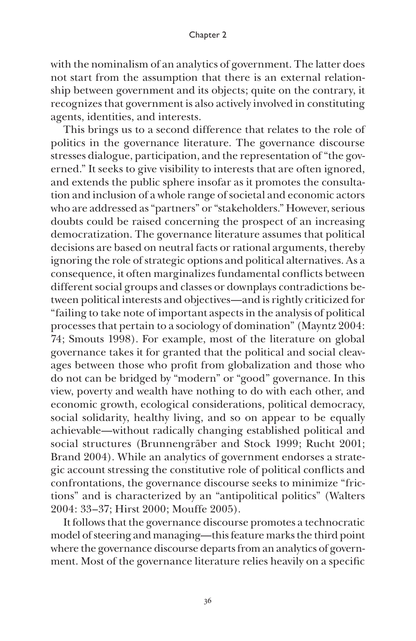#### Chapter 2

with the nominalism of an analytics of government. The latter does not start from the assumption that there is an external relationship between government and its objects; quite on the contrary, it recognizes that government is also actively involved in constituting agents, identities, and interests.

This brings us to a second difference that relates to the role of politics in the governance literature. The governance discourse stresses dialogue, participation, and the representation of "the governed." It seeks to give visibility to interests that are often ignored, and extends the public sphere insofar as it promotes the consultation and inclusion of a whole range of societal and economic actors who are addressed as "partners" or "stakeholders." However, serious doubts could be raised concerning the prospect of an increasing democratization. The governance literature assumes that political decisions are based on neutral facts or rational arguments, thereby ignoring the role of strategic options and political alternatives. As a consequence, it often marginalizes fundamental conflicts between different social groups and classes or downplays contradictions between political interests and objectives—and is rightly criticized for "failing to take note of important aspects in the analysis of political processes that pertain to a sociology of domination" (Mayntz 2004: 74; Smouts 1998). For example, most of the literature on global governance takes it for granted that the political and social cleavages between those who profit from globalization and those who do not can be bridged by "modern" or "good" governance. In this view, poverty and wealth have nothing to do with each other, and economic growth, ecological considerations, political democracy, social solidarity, healthy living, and so on appear to be equally achievable—without radically changing established political and social structures (Brunnengräber and Stock 1999; Rucht 2001; Brand 2004). While an analytics of government endorses a strategic account stressing the constitutive role of political conflicts and confrontations, the governance discourse seeks to minimize "frictions" and is characterized by an "antipolitical politics" (Walters 2004: 33–37; Hirst 2000; Mouffe 2005).

It follows that the governance discourse promotes a technocratic model of steering and managing—this feature marks the third point where the governance discourse departs from an analytics of government. Most of the governance literature relies heavily on a specific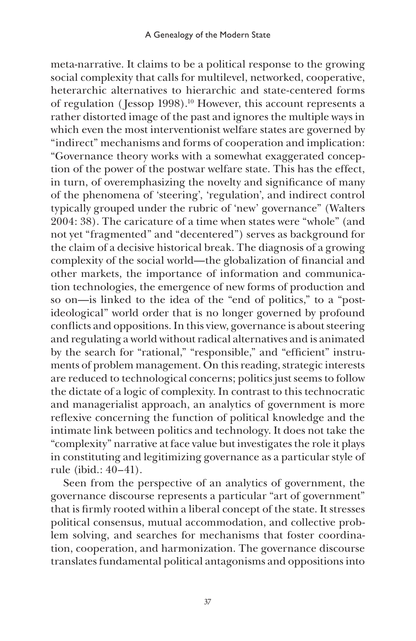meta-narrative. It claims to be a political response to the growing social complexity that calls for multilevel, networked, cooperative, heterarchic alternatives to hierarchic and state-centered forms of regulation ( Jessop 1998[\).10](#page--1-0) However, this account represents a rather distorted image of the past and ignores the multiple ways in which even the most interventionist welfare states are governed by "indirect" mechanisms and forms of cooperation and implication: "Governance theory works with a somewhat exaggerated conception of the power of the postwar welfare state. This has the effect, in turn, of overemphasizing the novelty and significance of many of the phenomena of 'steering', 'regulation', and indirect control typically grouped under the rubric of 'new' governance" (Walters 2004: 38). The caricature of a time when states were "whole" (and not yet "fragmented" and "decentered") serves as background for the claim of a decisive historical break. The diagnosis of a growing complexity of the social world—the globalization of financial and other markets, the importance of information and communication technologies, the emergence of new forms of production and so on—is linked to the idea of the "end of politics," to a "postideological" world order that is no longer governed by profound conflicts and oppositions. In this view, governance is about steering and regulating a world without radical alternatives and is animated by the search for "rational," "responsible," and "efficient" instruments of problem management. On this reading, strategic interests are reduced to technological concerns; politics just seems to follow the dictate of a logic of complexity. In contrast to this technocratic and managerialist approach, an analytics of government is more reflexive concerning the function of political knowledge and the intimate link between politics and technology. It does not take the "complexity" narrative at face value but investigates the role it plays in constituting and legitimizing governance as a particular style of rule (ibid.: 40–41).

Seen from the perspective of an analytics of government, the governance discourse represents a particular "art of government" that is firmly rooted within a liberal concept of the state. It stresses political consensus, mutual accommodation, and collective problem solving, and searches for mechanisms that foster coordination, cooperation, and harmonization. The governance discourse translates fundamental political antagonisms and oppositions into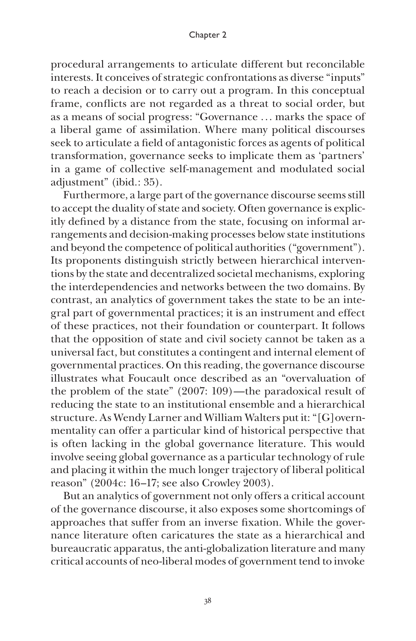procedural arrangements to articulate different but reconcilable interests. It conceives of strategic confrontations as diverse "inputs" to reach a decision or to carry out a program. In this conceptual frame, conflicts are not regarded as a threat to social order, but as a means of social progress: "Governance ... marks the space of a liberal game of assimilation. Where many political discourses seek to articulate a field of antagonistic forces as agents of political transformation, governance seeks to implicate them as 'partners' in a game of collective self-management and modulated social adjustment" (ibid.: 35).

Furthermore, a large part of the governance discourse seems still to accept the duality of state and society. Often governance is explicitly defined by a distance from the state, focusing on informal arrangements and decision-making processes below state institutions and beyond the competence of political authorities ("government"). Its proponents distinguish strictly between hierarchical interventions by the state and decentralized societal mechanisms, exploring the interdependencies and networks between the two domains. By contrast, an analytics of government takes the state to be an integral part of governmental practices; it is an instrument and effect of these practices, not their foundation or counterpart. It follows that the opposition of state and civil society cannot be taken as a universal fact, but constitutes a contingent and internal element of governmental practices. On this reading, the governance discourse illustrates what Foucault once described as an "overvaluation of the problem of the state" (2007: 109)—the paradoxical result of reducing the state to an institutional ensemble and a hierarchical structure. As Wendy Larner and William Walters put it: "[G]overnmentality can offer a particular kind of historical perspective that is often lacking in the global governance literature. This would involve seeing global governance as a particular technology of rule and placing it within the much longer trajectory of liberal political reason" (2004c: 16–17; see also Crowley 2003).

But an analytics of government not only offers a critical account of the governance discourse, it also exposes some shortcomings of approaches that suffer from an inverse fixation. While the governance literature often caricatures the state as a hierarchical and bureaucratic apparatus, the anti-globalization literature and many critical accounts of neo-liberal modes of government tend to invoke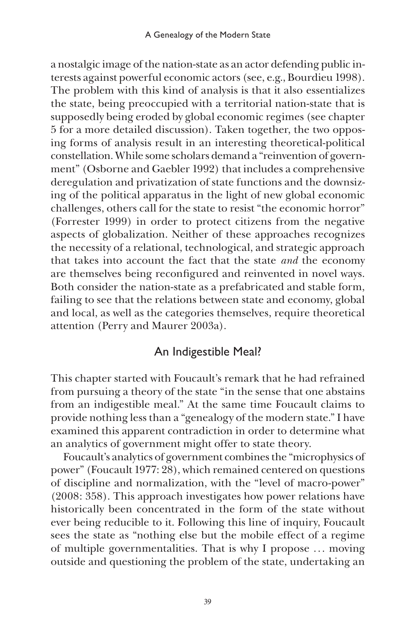a nostalgic image of the nation-state as an actor defending public interests against powerful economic actors (see, e.g., Bourdieu 1998). The problem with this kind of analysis is that it also essentializes the state, being preoccupied with a territorial nation-state that is supposedly being eroded by global economic regimes (se[e chapter](#page--1-0) [5](#page--1-0) for a more detailed discussion). Taken together, the two opposing forms of analysis result in an interesting theoretical-political constellation. While some scholars demand a "reinvention of government" (Osborne and Gaebler 1992) that includes a comprehensive deregulation and privatization of state functions and the downsizing of the political apparatus in the light of new global economic challenges, others call for the state to resist "the economic horror" (Forrester 1999) in order to protect citizens from the negative aspects of globalization. Neither of these approaches recognizes the necessity of a relational, technological, and strategic approach that takes into account the fact that the state *and* the economy are themselves being reconfigured and reinvented in novel ways. Both consider the nation-state as a prefabricated and stable form, failing to see that the relations between state and economy, global and local, as well as the categories themselves, require theoretical attention (Perry and Maurer 2003a).

## [An Indigestible Meal?](#page--1-0)

This chapter started with Foucault's remark that he had refrained from pursuing a theory of the state "in the sense that one abstains from an indigestible meal." At the same time Foucault claims to provide nothing less than a "genealogy of the modern state." I have examined this apparent contradiction in order to determine what an analytics of government might offer to state theory.

Foucault's analytics of government combines the "microphysics of power" (Foucault 1977: 28), which remained centered on questions of discipline and normalization, with the "level of macro-power" (2008: 358). This approach investigates how power relations have historically been concentrated in the form of the state without ever being reducible to it. Following this line of inquiry, Foucault sees the state as "nothing else but the mobile effect of a regime of multiple governmentalities. That is why I propose ... moving outside and questioning the problem of the state, undertaking an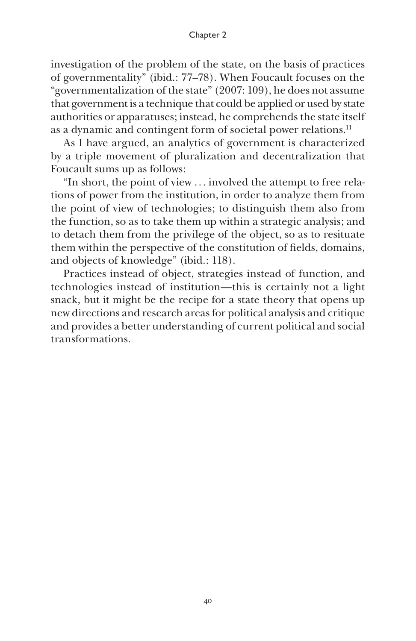### Chapter 2

investigation of the problem of the state, on the basis of practices of governmentality" (ibid.: 77–78). When Foucault focuses on the "governmentalization of the state" (2007: 109), he does not assume that government is a technique that could be applied or used by state authorities or apparatuses; instead, he comprehends the state itself as a dynamic and contingent form of societal power relations.<sup>11</sup>

As I have argued, an analytics of government is characterized by a triple movement of pluralization and decentralization that Foucault sums up as follows:

"In short, the point of view ... involved the attempt to free relations of power from the institution, in order to analyze them from the point of view of technologies; to distinguish them also from the function, so as to take them up within a strategic analysis; and to detach them from the privilege of the object, so as to resituate them within the perspective of the constitution of fields, domains, and objects of knowledge" (ibid.: 118).

Practices instead of object, strategies instead of function, and technologies instead of institution—this is certainly not a light snack, but it might be the recipe for a state theory that opens up new directions and research areas for political analysis and critique and provides a better understanding of current political and social transformations.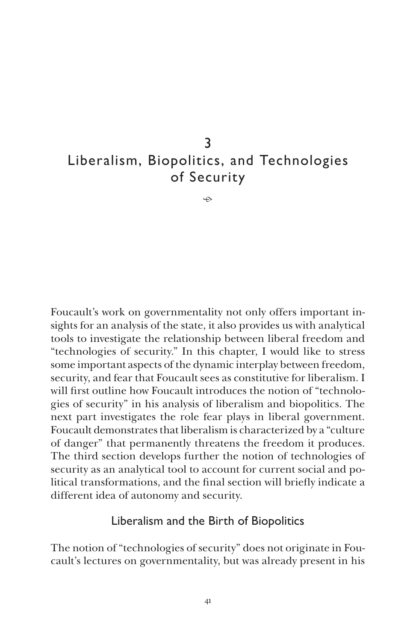# 3 [Liberalism, Biopolitics, and Technologies](#page--1-0) of Security

 $\div$ d

Foucault's work on governmentality not only offers important insights for an analysis of the state, it also provides us with analytical tools to investigate the relationship between liberal freedom and "technologies of security." In this chapter, I would like to stress some important aspects of the dynamic interplay between freedom, security, and fear that Foucault sees as constitutive for liberalism. I will first outline how Foucault introduces the notion of "technologies of security" in his analysis of liberalism and biopolitics. The next part investigates the role fear plays in liberal government. Foucault demonstrates that liberalism is characterized by a "culture of danger" that permanently threatens the freedom it produces. The [third section d](#page-25-0)evelops further the notion of technologies of security as an analytical tool to account for current social and political transformations, and th[e final section](#page-30-0) will briefly indicate a different idea of autonomy and security.

### [Liberalism and the Birth of Biopolitics](#page--1-0)

The notion of "technologies of security" does not originate in Foucault's lectures on governmentality, but was already present in his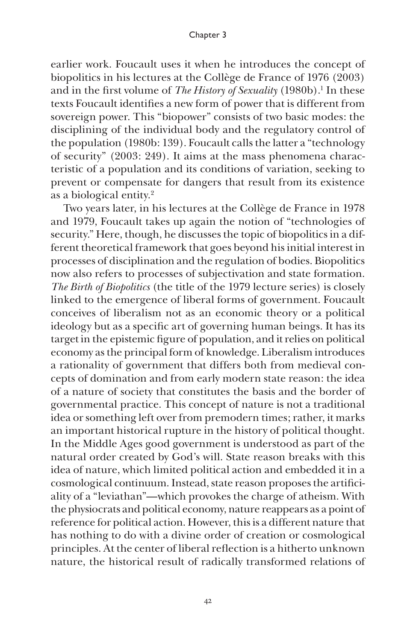#### Chapter 3

earlier work. Foucault uses it when he introduces the concept of biopolitics in his lectures at the Collège de France of 1976 (2003) and in the first volume of *The History of Sexuality* (1980b).<sup>1</sup> In these texts Foucault identifies a new form of power that is different from sovereign power. This "biopower" consists of two basic modes: the disciplining of the individual body and the regulatory control of the population (1980b: 139). Foucault calls the latter a "technology of security" (2003: 249). It aims at the mass phenomena characteristic of a population and its conditions of variation, seeking to prevent or compensate for dangers that result from its existence as a biological entit[y.2](#page--1-0)

Two years later, in his lectures at the Collège de France in 1978 and 1979, Foucault takes up again the notion of "technologies of security." Here, though, he discusses the topic of biopolitics in a different theoretical framework that goes beyond his initial interest in processes of disciplination and the regulation of bodies. Biopolitics now also refers to processes of subjectivation and state formation. *The Birth of Biopolitics* (the title of the 1979 lecture series) is closely linked to the emergence of liberal forms of government. Foucault conceives of liberalism not as an economic theory or a political ideology but as a specific art of governing human beings. It has its target in the epistemic figure of population, and it relies on political economy as the principal form of knowledge. Liberalism introduces a rationality of government that differs both from medieval concepts of domination and from early modern state reason: the idea of a nature of society that constitutes the basis and the border of governmental practice. This concept of nature is not a traditional idea or something left over from premodern times; rather, it marks an important historical rupture in the history of political thought. In the Middle Ages good government is understood as part of the natural order created by God's will. State reason breaks with this idea of nature, which limited political action and embedded it in a cosmological continuum. Instead, state reason proposes the artificiality of a "leviathan"—which provokes the charge of atheism. With the physiocrats and political economy, nature reappears as a point of reference for political action. However, this is a different nature that has nothing to do with a divine order of creation or cosmological principles. At the center of liberal reflection is a hitherto unknown nature, the historical result of radically transformed relations of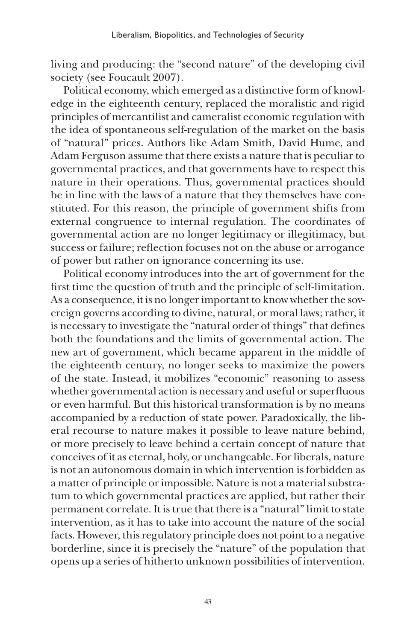living and producing: the "second nature" of the developing civil society (see Foucault 2007).

Political economy, which emerged as a distinctive form of knowledge in the eighteenth century, replaced the moralistic and rigid principles of mercantilist and cameralist economic regulation with the idea of spontaneous self-regulation of the market on the basis of "natural" prices. Authors like Adam Smith, David Hume, and Adam Ferguson assume that there exists a nature that is peculiar to governmental practices, and that governments have to respect this nature in their operations. Thus, governmental practices should be in line with the laws of a nature that they themselves have constituted. For this reason, the principle of government shifts from external congruence to internal regulation. The coordinates of governmental action are no longer legitimacy or illegitimacy, but success or failure; reflection focuses not on the abuse or arrogance of power but rather on ignorance concerning its use.

Political economy introduces into the art of government for the first time the question of truth and the principle of self-limitation. As a consequence, it is no longer important to know whether the sovereign governs according to divine, natural, or moral laws; rather, it is necessary to investigate the "natural order of things" that defines both the foundations and the limits of governmental action. The new art of government, which became apparent in the middle of the eighteenth century, no longer seeks to maximize the powers of the state. Instead, it mobilizes "economic" reasoning to assess whether governmental action is necessary and useful or superfluous or even harmful. But this historical transformation is by no means accompanied by a reduction of state power. Paradoxically, the liberal recourse to nature makes it possible to leave nature behind, or more precisely to leave behind a certain concept of nature that conceives of it as eternal, holy, or unchangeable. For liberals, nature is not an autonomous domain in which intervention is forbidden as a matter of principle or impossible. Nature is not a material substratum to which governmental practices are applied, but rather their permanent correlate. It is true that there is a "natural" limit to state intervention, as it has to take into account the nature of the social facts. However, this regulatory principle does not point to a negative borderline, since it is precisely the "nature" of the population that opens up a series of hitherto unknown possibilities of intervention.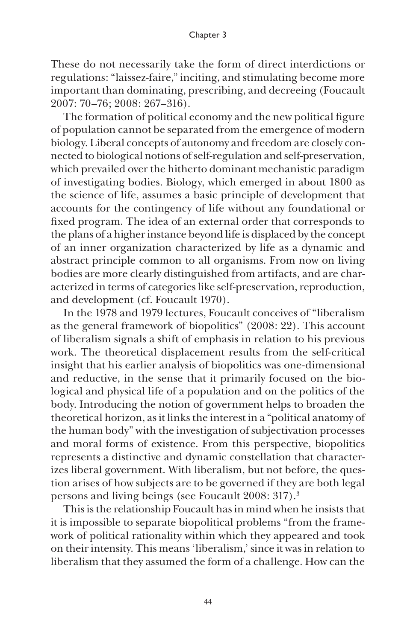#### Chapter 3

These do not necessarily take the form of direct interdictions or regulations: "laissez-faire," inciting, and stimulating become more important than dominating, prescribing, and decreeing (Foucault 2007: 70–76; 2008: 267–316).

The formation of political economy and the new political figure of population cannot be separated from the emergence of modern biology. Liberal concepts of autonomy and freedom are closely connected to biological notions of self-regulation and self-preservation, which prevailed over the hitherto dominant mechanistic paradigm of investigating bodies. Biology, which emerged in about 1800 as the science of life, assumes a basic principle of development that accounts for the contingency of life without any foundational or fixed program. The idea of an external order that corresponds to the plans of a higher instance beyond life is displaced by the concept of an inner organization characterized by life as a dynamic and abstract principle common to all organisms. From now on living bodies are more clearly distinguished from artifacts, and are characterized in terms of categories like self-preservation, reproduction, and development (cf. Foucault 1970).

In the 1978 and 1979 lectures, Foucault conceives of "liberalism as the general framework of biopolitics" (2008: 22). This account of liberalism signals a shift of emphasis in relation to his previous work. The theoretical displacement results from the self-critical insight that his earlier analysis of biopolitics was one-dimensional and reductive, in the sense that it primarily focused on the biological and physical life of a population and on the politics of the body. Introducing the notion of government helps to broaden the theoretical horizon, as it links the interest in a "political anatomy of the human body" with the investigation of subjectivation processes and moral forms of existence. From this perspective, biopolitics represents a distinctive and dynamic constellation that characterizes liberal government. With liberalism, but not before, the question arises of how subjects are to be governed if they are both legal persons and living beings (see Foucault 2008: 317).<sup>3</sup>

This is the relationship Foucault has in mind when he insists that it is impossible to separate biopolitical problems "from the framework of political rationality within which they appeared and took on their intensity. This means 'liberalism,' since it was in relation to liberalism that they assumed the form of a challenge. How can the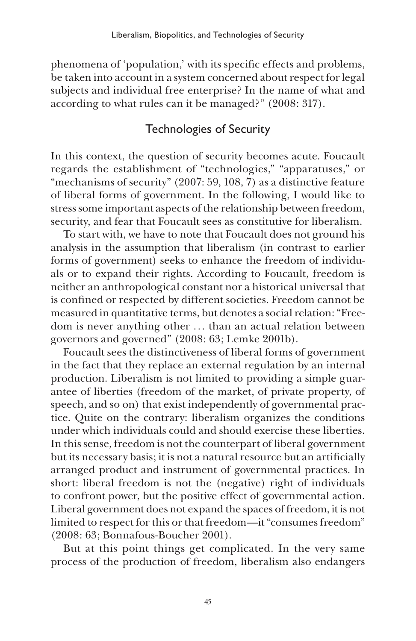phenomena of 'population,' with its specific effects and problems, be taken into account in a system concerned about respect for legal subjects and individual free enterprise? In the name of what and according to what rules can it be managed?" (2008: 317).

## [Technologies of Security](#page--1-0)

In this context, the question of security becomes acute. Foucault regards the establishment of "technologies," "apparatuses," or "mechanisms of security" (2007: 59, 108, 7) as a distinctive feature of liberal forms of government. In the following, I would like to stress some important aspects of the relationship between freedom, security, and fear that Foucault sees as constitutive for liberalism.

To start with, we have to note that Foucault does not ground his analysis in the assumption that liberalism (in contrast to earlier forms of government) seeks to enhance the freedom of individuals or to expand their rights. According to Foucault, freedom is neither an anthropological constant nor a historical universal that is confined or respected by different societies. Freedom cannot be measured in quantitative terms, but denotes a social relation: "Freedom is never anything other ... than an actual relation between governors and governed" (2008: 63; Lemke 2001b).

Foucault sees the distinctiveness of liberal forms of government in the fact that they replace an external regulation by an internal production. Liberalism is not limited to providing a simple guarantee of liberties (freedom of the market, of private property, of speech, and so on) that exist independently of governmental practice. Quite on the contrary: liberalism organizes the conditions under which individuals could and should exercise these liberties. In this sense, freedom is not the counterpart of liberal government but its necessary basis; it is not a natural resource but an artificially arranged product and instrument of governmental practices. In short: liberal freedom is not the (negative) right of individuals to confront power, but the positive effect of governmental action. Liberal government does not expand the spaces of freedom, it is not limited to respect for this or that freedom—it "consumes freedom" (2008: 63; Bonnafous-Boucher 2001).

But at this point things get complicated. In the very same process of the production of freedom, liberalism also endangers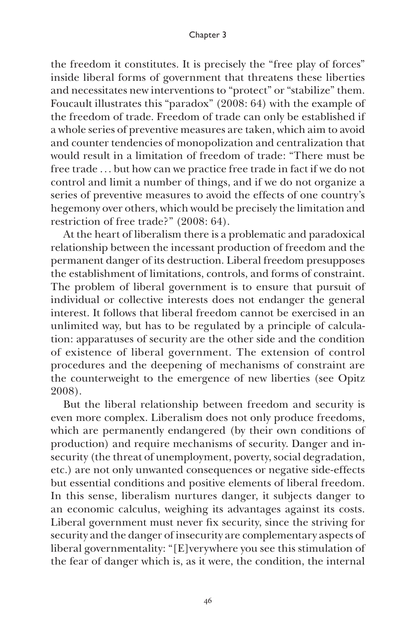the freedom it constitutes. It is precisely the "free play of forces" inside liberal forms of government that threatens these liberties and necessitates new interventions to "protect" or "stabilize" them. Foucault illustrates this "paradox" (2008: 64) with the example of the freedom of trade. Freedom of trade can only be established if a whole series of preventive measures are taken, which aim to avoid and counter tendencies of monopolization and centralization that would result in a limitation of freedom of trade: "There must be free trade ... but how can we practice free trade in fact if we do not control and limit a number of things, and if we do not organize a series of preventive measures to avoid the effects of one country's hegemony over others, which would be precisely the limitation and restriction of free trade?" (2008: 64).

At the heart of liberalism there is a problematic and paradoxical relationship between the incessant production of freedom and the permanent danger of its destruction. Liberal freedom presupposes the establishment of limitations, controls, and forms of constraint. The problem of liberal government is to ensure that pursuit of individual or collective interests does not endanger the general interest. It follows that liberal freedom cannot be exercised in an unlimited way, but has to be regulated by a principle of calculation: apparatuses of security are the other side and the condition of existence of liberal government. The extension of control procedures and the deepening of mechanisms of constraint are the counterweight to the emergence of new liberties (see Opitz 2008).

But the liberal relationship between freedom and security is even more complex. Liberalism does not only produce freedoms, which are permanently endangered (by their own conditions of production) and require mechanisms of security. Danger and insecurity (the threat of unemployment, poverty, social degradation, etc.) are not only unwanted consequences or negative side-effects but essential conditions and positive elements of liberal freedom. In this sense, liberalism nurtures danger, it subjects danger to an economic calculus, weighing its advantages against its costs. Liberal government must never fix security, since the striving for security and the danger of insecurity are complementary aspects of liberal governmentality: "[E]verywhere you see this stimulation of the fear of danger which is, as it were, the condition, the internal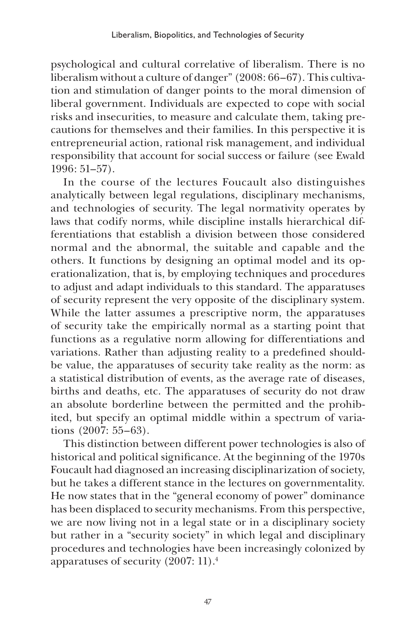psychological and cultural correlative of liberalism. There is no liberalism without a culture of danger" (2008: 66–67). This cultivation and stimulation of danger points to the moral dimension of liberal government. Individuals are expected to cope with social risks and insecurities, to measure and calculate them, taking precautions for themselves and their families. In this perspective it is entrepreneurial action, rational risk management, and individual responsibility that account for social success or failure (see Ewald 1996: 51–57).

In the course of the lectures Foucault also distinguishes analytically between legal regulations, disciplinary mechanisms, and technologies of security. The legal normativity operates by laws that codify norms, while discipline installs hierarchical differentiations that establish a division between those considered normal and the abnormal, the suitable and capable and the others. It functions by designing an optimal model and its operationalization, that is, by employing techniques and procedures to adjust and adapt individuals to this standard. The apparatuses of security represent the very opposite of the disciplinary system. While the latter assumes a prescriptive norm, the apparatuses of security take the empirically normal as a starting point that functions as a regulative norm allowing for differentiations and variations. Rather than adjusting reality to a predefined shouldbe value, the apparatuses of security take reality as the norm: as a statistical distribution of events, as the average rate of diseases, births and deaths, etc. The apparatuses of security do not draw an absolute borderline between the permitted and the prohibited, but specify an optimal middle within a spectrum of variations  $(2007: 55-63)$ .

This distinction between different power technologies is also of historical and political significance. At the beginning of the 1970s Foucault had diagnosed an increasing disciplinarization of society, but he takes a different stance in the lectures on governmentality. He now states that in the "general economy of power" dominance has been displaced to security mechanisms. From this perspective, we are now living not in a legal state or in a disciplinary society but rather in a "security society" in which legal and disciplinary procedures and technologies have been increasingly colonized by apparatuses of security (2007: 11)[.4](#page--1-0)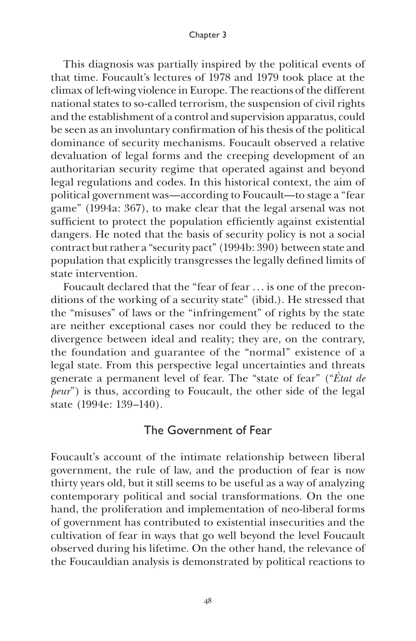<span id="page-25-0"></span>This diagnosis was partially inspired by the political events of that time. Foucault's lectures of 1978 and 1979 took place at the climax of left-wing violence in Europe. The reactions of the different national states to so-called terrorism, the suspension of civil rights and the establishment of a control and supervision apparatus, could be seen as an involuntary confirmation of his thesis of the political dominance of security mechanisms. Foucault observed a relative devaluation of legal forms and the creeping development of an authoritarian security regime that operated against and beyond legal regulations and codes. In this historical context, the aim of political government was—according to Foucault—to stage a "fear game" (1994a: 367), to make clear that the legal arsenal was not sufficient to protect the population efficiently against existential dangers. He noted that the basis of security policy is not a social contract but rather a "security pact" (1994b: 390) between state and population that explicitly transgresses the legally defined limits of state intervention.

Foucault declared that the "fear of fear ... is one of the preconditions of the working of a security state" (ibid.). He stressed that the "misuses" of laws or the "infringement" of rights by the state are neither exceptional cases nor could they be reduced to the divergence between ideal and reality; they are, on the contrary, the foundation and guarantee of the "normal" existence of a legal state. From this perspective legal uncertainties and threats generate a permanent level of fear. The "state of fear" ("*État de peur*") is thus, according to Foucault, the other side of the legal state (1994e: 139–140).

### [The Government of Fear](#page--1-0)

Foucault's account of the intimate relationship between liberal government, the rule of law, and the production of fear is now thirty years old, but it still seems to be useful as a way of analyzing contemporary political and social transformations. On the one hand, the proliferation and implementation of neo-liberal forms of government has contributed to existential insecurities and the cultivation of fear in ways that go well beyond the level Foucault observed during his lifetime. On the other hand, the relevance of the Foucauldian analysis is demonstrated by political reactions to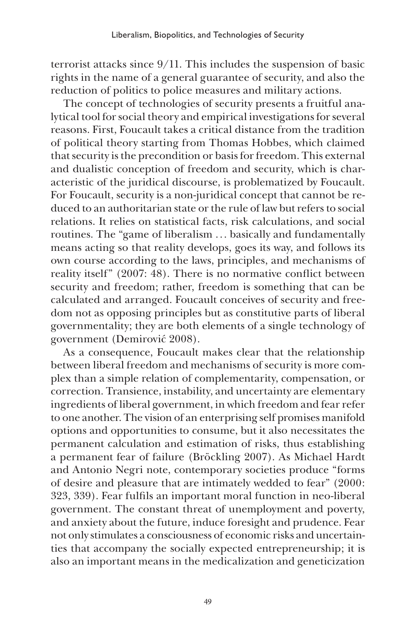terrorist attacks since 9/11. This includes the suspension of basic rights in the name of a general guarantee of security, and also the reduction of politics to police measures and military actions.

The concept of technologies of security presents a fruitful analytical tool for social theory and empirical investigations for several reasons. First, Foucault takes a critical distance from the tradition of political theory starting from Thomas Hobbes, which claimed that security is the precondition or basis for freedom. This external and dualistic conception of freedom and security, which is characteristic of the juridical discourse, is problematized by Foucault. For Foucault, security is a non-juridical concept that cannot be reduced to an authoritarian state or the rule of law but refers to social relations. It relies on statistical facts, risk calculations, and social routines. The "game of liberalism ... basically and fundamentally means acting so that reality develops, goes its way, and follows its own course according to the laws, principles, and mechanisms of reality itself" (2007: 48). There is no normative conflict between security and freedom; rather, freedom is something that can be calculated and arranged. Foucault conceives of security and freedom not as opposing principles but as constitutive parts of liberal governmentality; they are both elements of a single technology of government (Demirović 2008).

As a consequence, Foucault makes clear that the relationship between liberal freedom and mechanisms of security is more complex than a simple relation of complementarity, compensation, or correction. Transience, instability, and uncertainty are elementary ingredients of liberal government, in which freedom and fear refer to one another. The vision of an enterprising self promises manifold options and opportunities to consume, but it also necessitates the permanent calculation and estimation of risks, thus establishing a permanent fear of failure (Bröckling 2007). As Michael Hardt and Antonio Negri note, contemporary societies produce "forms of desire and pleasure that are intimately wedded to fear" (2000: 323, 339). Fear fulfils an important moral function in neo-liberal government. The constant threat of unemployment and poverty, and anxiety about the future, induce foresight and prudence. Fear not only stimulates a consciousness of economic risks and uncertainties that accompany the socially expected entrepreneurship; it is also an important means in the medicalization and geneticization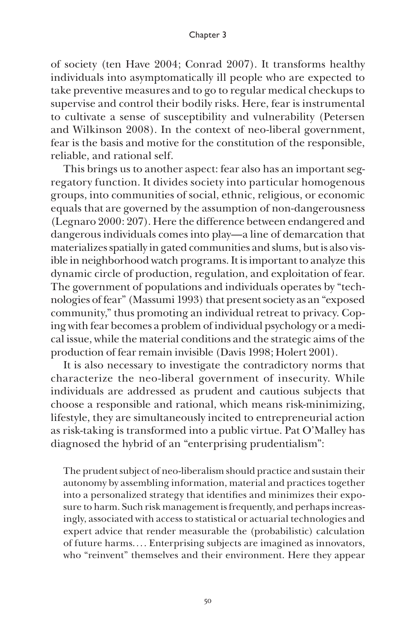of society (ten Have 2004; Conrad 2007). It transforms healthy individuals into asymptomatically ill people who are expected to take preventive measures and to go to regular medical checkups to supervise and control their bodily risks. Here, fear is instrumental to cultivate a sense of susceptibility and vulnerability (Petersen and Wilkinson 2008). In the context of neo-liberal government, fear is the basis and motive for the constitution of the responsible, reliable, and rational self.

This brings us to another aspect: fear also has an important segregatory function. It divides society into particular homogenous groups, into communities of social, ethnic, religious, or economic equals that are governed by the assumption of non-dangerousness (Legnaro 2000: 207). Here the difference between endangered and dangerous individuals comes into play—a line of demarcation that materializes spatially in gated communities and slums, but is also visible in neighborhood watch programs. It is important to analyze this dynamic circle of production, regulation, and exploitation of fear. The government of populations and individuals operates by "technologies of fear" (Massumi 1993) that present society as an "exposed community," thus promoting an individual retreat to privacy. Coping with fear becomes a problem of individual psychology or a medical issue, while the material conditions and the strategic aims of the production of fear remain invisible (Davis 1998; Holert 2001).

It is also necessary to investigate the contradictory norms that characterize the neo-liberal government of insecurity. While individuals are addressed as prudent and cautious subjects that choose a responsible and rational, which means risk-minimizing, lifestyle, they are simultaneously incited to entrepreneurial action as risk-taking is transformed into a public virtue. Pat O'Malley has diagnosed the hybrid of an "enterprising prudentialism":

The prudent subject of neo-liberalism should practice and sustain their autonomy by assembling information, material and practices together into a personalized strategy that identifies and minimizes their exposure to harm. Such risk management is frequently, and perhaps increasingly, associated with access to statistical or actuarial technologies and expert advice that render measurable the (probabilistic) calculation of future harms.... Enterprising subjects are imagined as innovators, who "reinvent" themselves and their environment. Here they appear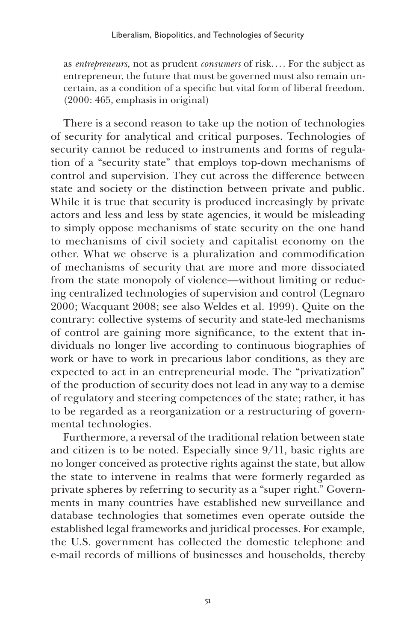as *entrepreneurs,* not as prudent *consumers* of risk.... For the subject as entrepreneur, the future that must be governed must also remain uncertain, as a condition of a specific but vital form of liberal freedom. (2000: 465, emphasis in original)

There is a second reason to take up the notion of technologies of security for analytical and critical purposes. Technologies of security cannot be reduced to instruments and forms of regulation of a "security state" that employs top-down mechanisms of control and supervision. They cut across the difference between state and society or the distinction between private and public. While it is true that security is produced increasingly by private actors and less and less by state agencies, it would be misleading to simply oppose mechanisms of state security on the one hand to mechanisms of civil society and capitalist economy on the other. What we observe is a pluralization and commodification of mechanisms of security that are more and more dissociated from the state monopoly of violence—without limiting or reducing centralized technologies of supervision and control (Legnaro 2000; Wacquant 2008; see also Weldes et al. 1999). Quite on the contrary: collective systems of security and state-led mechanisms of control are gaining more significance, to the extent that individuals no longer live according to continuous biographies of work or have to work in precarious labor conditions, as they are expected to act in an entrepreneurial mode. The "privatization" of the production of security does not lead in any way to a demise of regulatory and steering competences of the state; rather, it has to be regarded as a reorganization or a restructuring of governmental technologies.

Furthermore, a reversal of the traditional relation between state and citizen is to be noted. Especially since 9/11, basic rights are no longer conceived as protective rights against the state, but allow the state to intervene in realms that were formerly regarded as private spheres by referring to security as a "super right." Governments in many countries have established new surveillance and database technologies that sometimes even operate outside the established legal frameworks and juridical processes. For example, the U.S. government has collected the domestic telephone and e-mail records of millions of businesses and households, thereby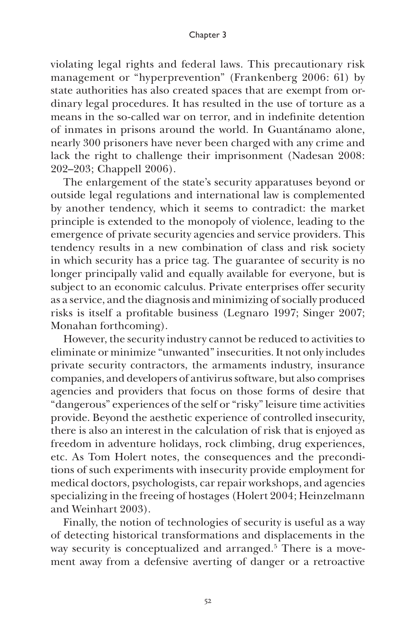violating legal rights and federal laws. This precautionary risk management or "hyperprevention" (Frankenberg 2006: 61) by state authorities has also created spaces that are exempt from ordinary legal procedures. It has resulted in the use of torture as a means in the so-called war on terror, and in indefinite detention of inmates in prisons around the world. In Guantánamo alone, nearly 300 prisoners have never been charged with any crime and lack the right to challenge their imprisonment (Nadesan 2008: 202–203; Chappell 2006).

The enlargement of the state's security apparatuses beyond or outside legal regulations and international law is complemented by another tendency, which it seems to contradict: the market principle is extended to the monopoly of violence, leading to the emergence of private security agencies and service providers. This tendency results in a new combination of class and risk society in which security has a price tag. The guarantee of security is no longer principally valid and equally available for everyone, but is subject to an economic calculus. Private enterprises offer security as a service, and the diagnosis and minimizing of socially produced risks is itself a profitable business (Legnaro 1997; Singer 2007; Monahan forthcoming).

However, the security industry cannot be reduced to activities to eliminate or minimize "unwanted" insecurities. It not only includes private security contractors, the armaments industry, insurance companies, and developers of antivirus software, but also comprises agencies and providers that focus on those forms of desire that "dangerous" experiences of the self or "risky" leisure time activities provide. Beyond the aesthetic experience of controlled insecurity, there is also an interest in the calculation of risk that is enjoyed as freedom in adventure holidays, rock climbing, drug experiences, etc. As Tom Holert notes, the consequences and the preconditions of such experiments with insecurity provide employment for medical doctors, psychologists, car repair workshops, and agencies specializing in the freeing of hostages (Holert 2004; Heinzelmann and Weinhart 2003).

Finally, the notion of technologies of security is useful as a way of detecting historical transformations and displacements in the way security is conceptualized and arranged.<sup>5</sup> There is a movement away from a defensive averting of danger or a retroactive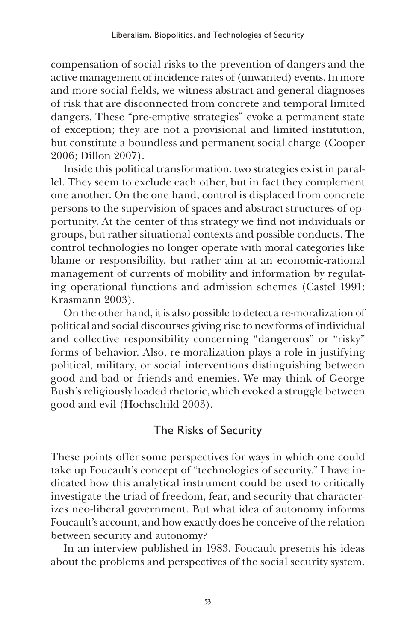<span id="page-30-0"></span>compensation of social risks to the prevention of dangers and the active management of incidence rates of (unwanted) events. In more and more social fields, we witness abstract and general diagnoses of risk that are disconnected from concrete and temporal limited dangers. These "pre-emptive strategies" evoke a permanent state of exception; they are not a provisional and limited institution, but constitute a boundless and permanent social charge (Cooper 2006; Dillon 2007).

Inside this political transformation, two strategies exist in parallel. They seem to exclude each other, but in fact they complement one another. On the one hand, control is displaced from concrete persons to the supervision of spaces and abstract structures of opportunity. At the center of this strategy we find not individuals or groups, but rather situational contexts and possible conducts. The control technologies no longer operate with moral categories like blame or responsibility, but rather aim at an economic-rational management of currents of mobility and information by regulating operational functions and admission schemes (Castel 1991; Krasmann 2003).

On the other hand, it is also possible to detect a re-moralization of political and social discourses giving rise to new forms of individual and collective responsibility concerning "dangerous" or "risky" forms of behavior. Also, re-moralization plays a role in justifying political, military, or social interventions distinguishing between good and bad or friends and enemies. We may think of George Bush's religiously loaded rhetoric, which evoked a struggle between good and evil (Hochschild 2003).

## [The Risks of Security](#page--1-0)

These points offer some perspectives for ways in which one could take up Foucault's concept of "technologies of security." I have indicated how this analytical instrument could be used to critically investigate the triad of freedom, fear, and security that characterizes neo-liberal government. But what idea of autonomy informs Foucault's account, and how exactly does he conceive of the relation between security and autonomy?

In an interview published in 1983, Foucault presents his ideas about the problems and perspectives of the social security system.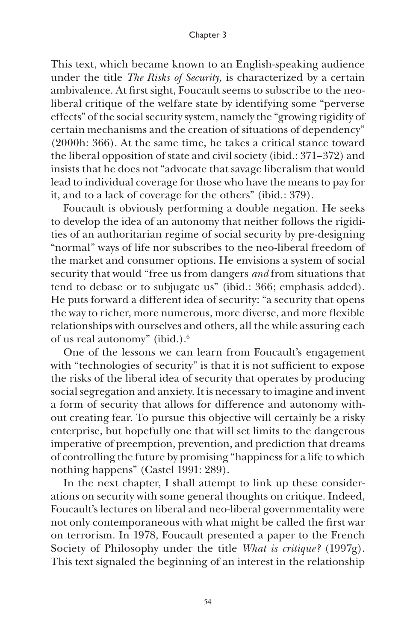This text, which became known to an English-speaking audience under the title *The Risks of Security,* is characterized by a certain ambivalence. At first sight, Foucault seems to subscribe to the neoliberal critique of the welfare state by identifying some "perverse effects" of the social security system, namely the "growing rigidity of certain mechanisms and the creation of situations of dependency" (2000h: 366). At the same time, he takes a critical stance toward the liberal opposition of state and civil society (ibid.: 371–372) and insists that he does not "advocate that savage liberalism that would lead to individual coverage for those who have the means to pay for it, and to a lack of coverage for the others" (ibid.: 379).

Foucault is obviously performing a double negation. He seeks to develop the idea of an autonomy that neither follows the rigidities of an authoritarian regime of social security by pre-designing "normal" ways of life nor subscribes to the neo-liberal freedom of the market and consumer options. He envisions a system of social security that would "free us from dangers *and* from situations that tend to debase or to subjugate us" (ibid.: 366; emphasis added). He puts forward a different idea of security: "a security that opens the way to richer, more numerous, more diverse, and more flexible relationships with ourselves and others, all the while assuring each of us real autonomy" (ibid.[\).6](#page--1-0)

One of the lessons we can learn from Foucault's engagement with "technologies of security" is that it is not sufficient to expose the risks of the liberal idea of security that operates by producing social segregation and anxiety. It is necessary to imagine and invent a form of security that allows for difference and autonomy without creating fear. To pursue this objective will certainly be a risky enterprise, but hopefully one that will set limits to the dangerous imperative of preemption, prevention, and prediction that dreams of controlling the future by promising "happiness for a life to which nothing happens" (Castel 1991: 289).

In the [next chapter, I](#page--1-0) shall attempt to link up these considerations on security with some general thoughts on critique. Indeed, Foucault's lectures on liberal and neo-liberal governmentality were not only contemporaneous with what might be called the first war on terrorism. In 1978, Foucault presented a paper to the French Society of Philosophy under the title *What is critique?* (1997g). This text signaled the beginning of an interest in the relationship